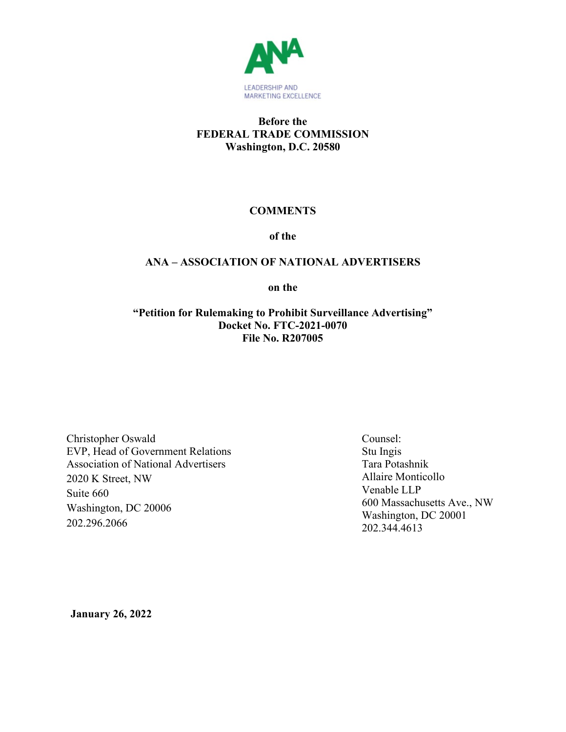

## **Before the FEDERAL TRADE COMMISSION Washington, D.C. 20580**

# **COMMENTS**

**of the**

# **ANA – ASSOCIATION OF NATIONAL ADVERTISERS**

**on the**

**"Petition for Rulemaking to Prohibit Surveillance Advertising" Docket No. FTC-2021-0070 File No. R207005**

Christopher Oswald EVP, Head of Government Relations Association of National Advertisers 2020 K Street, NW Suite 660 Washington, DC 20006 202.296.2066

Counsel: Stu Ingis Tara Potashnik Allaire Monticollo Venable LLP 600 Massachusetts Ave., NW Washington, DC 20001 202.344.4613

**January 26, 2022**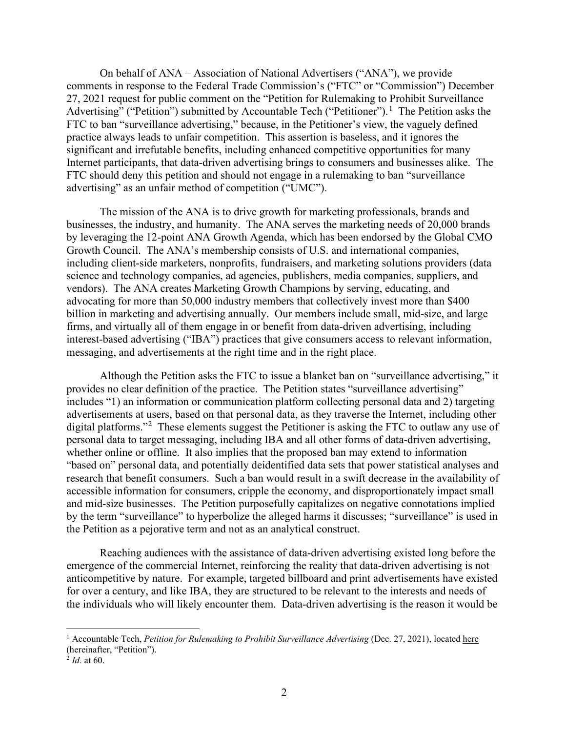On behalf of ANA – Association of National Advertisers ("ANA"), we provide comments in response to the Federal Trade Commission's ("FTC" or "Commission") December 27, 2021 request for public comment on the "Petition for Rulemaking to Prohibit Surveillance Advertising" ("Petition") submitted by Accountable Tech ("Petitioner").<sup>1</sup> The Petition asks the FTC to ban "surveillance advertising," because, in the Petitioner's view, the vaguely defined practice always leads to unfair competition. This assertion is baseless, and it ignores the significant and irrefutable benefits, including enhanced competitive opportunities for many Internet participants, that data-driven advertising brings to consumers and businesses alike. The FTC should deny this petition and should not engage in a rulemaking to ban "surveillance advertising" as an unfair method of competition ("UMC").

The mission of the ANA is to drive growth for marketing professionals, brands and businesses, the industry, and humanity. The ANA serves the marketing needs of 20,000 brands by leveraging the 12-point ANA Growth Agenda, which has been endorsed by the Global CMO Growth Council. The ANA's membership consists of U.S. and international companies, including client-side marketers, nonprofits, fundraisers, and marketing solutions providers (data science and technology companies, ad agencies, publishers, media companies, suppliers, and vendors). The ANA creates Marketing Growth Champions by serving, educating, and advocating for more than 50,000 industry members that collectively invest more than \$400 billion in marketing and advertising annually. Our members include small, mid-size, and large firms, and virtually all of them engage in or benefit from data-driven advertising, including interest-based advertising ("IBA") practices that give consumers access to relevant information, messaging, and advertisements at the right time and in the right place.

Although the Petition asks the FTC to issue a blanket ban on "surveillance advertising," it provides no clear definition of the practice. The Petition states "surveillance advertising" includes "1) an information or communication platform collecting personal data and 2) targeting advertisements at users, based on that personal data, as they traverse the Internet, including other digital platforms."<sup>[2](#page-1-0)</sup> These elements suggest the Petitioner is asking the FTC to outlaw any use of personal data to target messaging, including IBA and all other forms of data-driven advertising, whether online or offline. It also implies that the proposed ban may extend to information "based on" personal data, and potentially deidentified data sets that power statistical analyses and research that benefit consumers. Such a ban would result in a swift decrease in the availability of accessible information for consumers, cripple the economy, and disproportionately impact small and mid-size businesses. The Petition purposefully capitalizes on negative connotations implied by the term "surveillance" to hyperbolize the alleged harms it discusses; "surveillance" is used in the Petition as a pejorative term and not as an analytical construct.

Reaching audiences with the assistance of data-driven advertising existed long before the emergence of the commercial Internet, reinforcing the reality that data-driven advertising is not anticompetitive by nature. For example, targeted billboard and print advertisements have existed for over a century, and like IBA, they are structured to be relevant to the interests and needs of the individuals who will likely encounter them. Data-driven advertising is the reason it would be

<sup>1</sup> Accountable Tech, *Petition for Rulemaking to Prohibit Surveillance Advertising* (Dec. 27, 2021), located [here](https://www.regulations.gov/document/FTC-2021-0070-0002) (hereinafter, "Petition").

<span id="page-1-0"></span> $^{2}$  *Id.* at 60.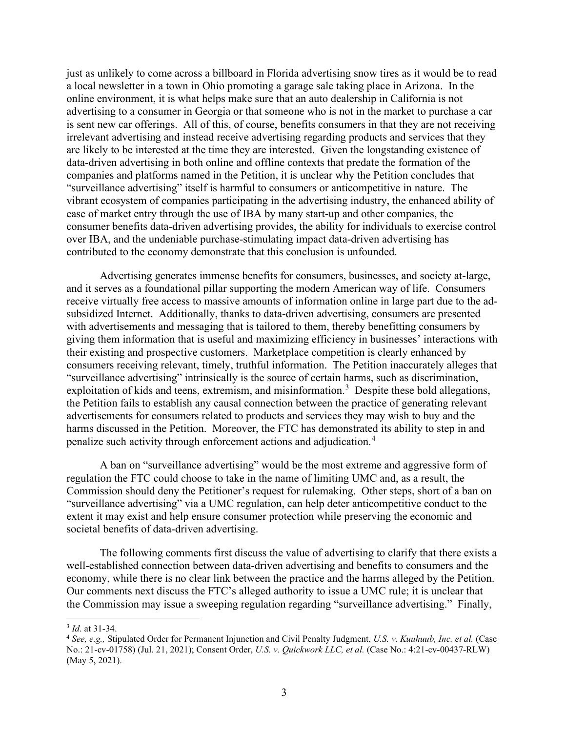just as unlikely to come across a billboard in Florida advertising snow tires as it would be to read a local newsletter in a town in Ohio promoting a garage sale taking place in Arizona. In the online environment, it is what helps make sure that an auto dealership in California is not advertising to a consumer in Georgia or that someone who is not in the market to purchase a car is sent new car offerings. All of this, of course, benefits consumers in that they are not receiving irrelevant advertising and instead receive advertising regarding products and services that they are likely to be interested at the time they are interested. Given the longstanding existence of data-driven advertising in both online and offline contexts that predate the formation of the companies and platforms named in the Petition, it is unclear why the Petition concludes that "surveillance advertising" itself is harmful to consumers or anticompetitive in nature. The vibrant ecosystem of companies participating in the advertising industry, the enhanced ability of ease of market entry through the use of IBA by many start-up and other companies, the consumer benefits data-driven advertising provides, the ability for individuals to exercise control over IBA, and the undeniable purchase-stimulating impact data-driven advertising has contributed to the economy demonstrate that this conclusion is unfounded.

Advertising generates immense benefits for consumers, businesses, and society at-large, and it serves as a foundational pillar supporting the modern American way of life. Consumers receive virtually free access to massive amounts of information online in large part due to the adsubsidized Internet. Additionally, thanks to data-driven advertising, consumers are presented with advertisements and messaging that is tailored to them, thereby benefitting consumers by giving them information that is useful and maximizing efficiency in businesses' interactions with their existing and prospective customers. Marketplace competition is clearly enhanced by consumers receiving relevant, timely, truthful information. The Petition inaccurately alleges that "surveillance advertising" intrinsically is the source of certain harms, such as discrimination, exploitation of kids and teens, extremism, and misinformation.<sup>[3](#page-2-0)</sup> Despite these bold allegations, the Petition fails to establish any causal connection between the practice of generating relevant advertisements for consumers related to products and services they may wish to buy and the harms discussed in the Petition. Moreover, the FTC has demonstrated its ability to step in and penalize such activity through enforcement actions and adjudication.<sup>[4](#page-2-1)</sup>

A ban on "surveillance advertising" would be the most extreme and aggressive form of regulation the FTC could choose to take in the name of limiting UMC and, as a result, the Commission should deny the Petitioner's request for rulemaking. Other steps, short of a ban on "surveillance advertising" via a UMC regulation, can help deter anticompetitive conduct to the extent it may exist and help ensure consumer protection while preserving the economic and societal benefits of data-driven advertising.

The following comments first discuss the value of advertising to clarify that there exists a well-established connection between data-driven advertising and benefits to consumers and the economy, while there is no clear link between the practice and the harms alleged by the Petition. Our comments next discuss the FTC's alleged authority to issue a UMC rule; it is unclear that the Commission may issue a sweeping regulation regarding "surveillance advertising." Finally,

<span id="page-2-0"></span><sup>3</sup> *Id*. at 31-34.

<span id="page-2-1"></span><sup>4</sup> *See, e.g.,* Stipulated Order for Permanent Injunction and Civil Penalty Judgment, *U.S. v. Kuuhuub, Inc. et al.* (Case No.: 21-cv-01758) (Jul. 21, 2021); Consent Order, *U.S. v. Quickwork LLC, et al.* (Case No.: 4:21-cv-00437-RLW) (May 5, 2021).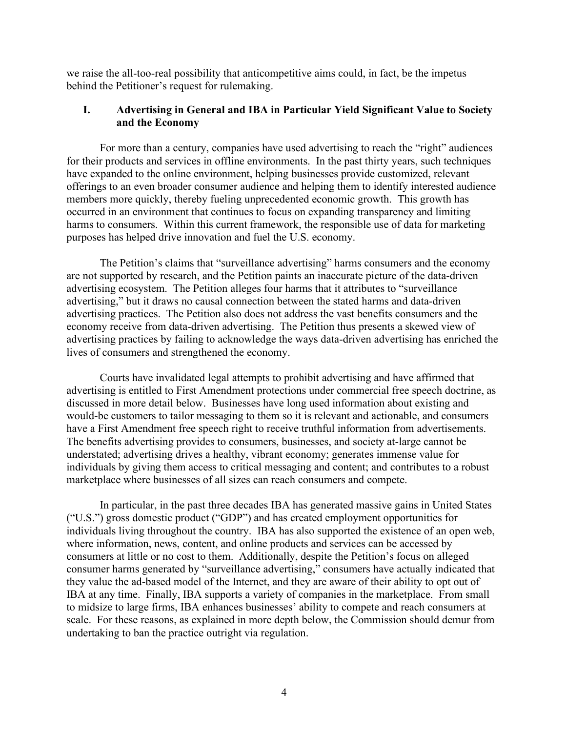we raise the all-too-real possibility that anticompetitive aims could, in fact, be the impetus behind the Petitioner's request for rulemaking.

### **I. Advertising in General and IBA in Particular Yield Significant Value to Society and the Economy**

For more than a century, companies have used advertising to reach the "right" audiences for their products and services in offline environments. In the past thirty years, such techniques have expanded to the online environment, helping businesses provide customized, relevant offerings to an even broader consumer audience and helping them to identify interested audience members more quickly, thereby fueling unprecedented economic growth. This growth has occurred in an environment that continues to focus on expanding transparency and limiting harms to consumers. Within this current framework, the responsible use of data for marketing purposes has helped drive innovation and fuel the U.S. economy.

The Petition's claims that "surveillance advertising" harms consumers and the economy are not supported by research, and the Petition paints an inaccurate picture of the data-driven advertising ecosystem. The Petition alleges four harms that it attributes to "surveillance advertising," but it draws no causal connection between the stated harms and data-driven advertising practices. The Petition also does not address the vast benefits consumers and the economy receive from data-driven advertising. The Petition thus presents a skewed view of advertising practices by failing to acknowledge the ways data-driven advertising has enriched the lives of consumers and strengthened the economy.

Courts have invalidated legal attempts to prohibit advertising and have affirmed that advertising is entitled to First Amendment protections under commercial free speech doctrine, as discussed in more detail below. Businesses have long used information about existing and would-be customers to tailor messaging to them so it is relevant and actionable, and consumers have a First Amendment free speech right to receive truthful information from advertisements. The benefits advertising provides to consumers, businesses, and society at-large cannot be understated; advertising drives a healthy, vibrant economy; generates immense value for individuals by giving them access to critical messaging and content; and contributes to a robust marketplace where businesses of all sizes can reach consumers and compete.

In particular, in the past three decades IBA has generated massive gains in United States ("U.S.") gross domestic product ("GDP") and has created employment opportunities for individuals living throughout the country. IBA has also supported the existence of an open web, where information, news, content, and online products and services can be accessed by consumers at little or no cost to them. Additionally, despite the Petition's focus on alleged consumer harms generated by "surveillance advertising," consumers have actually indicated that they value the ad-based model of the Internet, and they are aware of their ability to opt out of IBA at any time. Finally, IBA supports a variety of companies in the marketplace. From small to midsize to large firms, IBA enhances businesses' ability to compete and reach consumers at scale. For these reasons, as explained in more depth below, the Commission should demur from undertaking to ban the practice outright via regulation.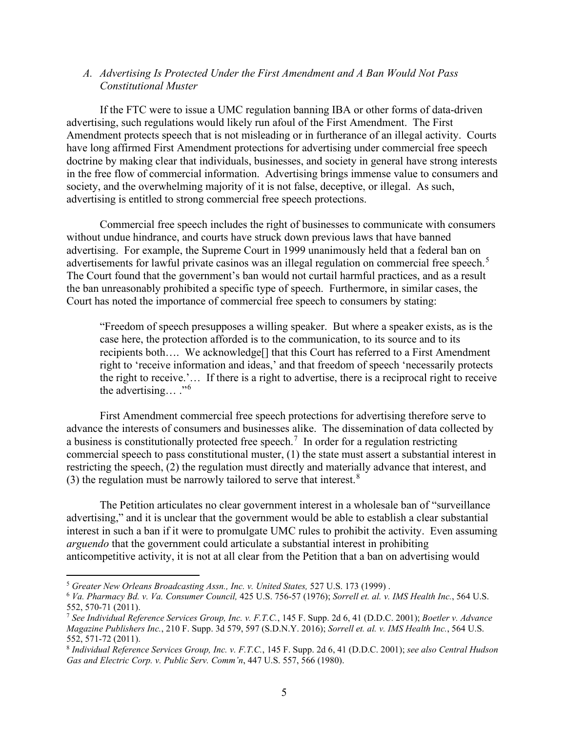#### *A. Advertising Is Protected Under the First Amendment and A Ban Would Not Pass Constitutional Muster*

If the FTC were to issue a UMC regulation banning IBA or other forms of data-driven advertising, such regulations would likely run afoul of the First Amendment. The First Amendment protects speech that is not misleading or in furtherance of an illegal activity. Courts have long affirmed First Amendment protections for advertising under commercial free speech doctrine by making clear that individuals, businesses, and society in general have strong interests in the free flow of commercial information. Advertising brings immense value to consumers and society, and the overwhelming majority of it is not false, deceptive, or illegal. As such, advertising is entitled to strong commercial free speech protections.

Commercial free speech includes the right of businesses to communicate with consumers without undue hindrance, and courts have struck down previous laws that have banned advertising. For example, the Supreme Court in 1999 unanimously held that a federal ban on advertisements for lawful private casinos was an illegal regulation on commercial free speech.<sup>[5](#page-4-0)</sup> The Court found that the government's ban would not curtail harmful practices, and as a result the ban unreasonably prohibited a specific type of speech. Furthermore, in similar cases, the Court has noted the importance of commercial free speech to consumers by stating:

"Freedom of speech presupposes a willing speaker. But where a speaker exists, as is the case here, the protection afforded is to the communication, to its source and to its recipients both…. We acknowledge[] that this Court has referred to a First Amendment right to 'receive information and ideas,' and that freedom of speech 'necessarily protects the right to receive.'… If there is a right to advertise, there is a reciprocal right to receive the advertising… ."[6](#page-4-1)

First Amendment commercial free speech protections for advertising therefore serve to advance the interests of consumers and businesses alike. The dissemination of data collected by a business is constitutionally protected free speech.<sup>[7](#page-4-2)</sup> In order for a regulation restricting commercial speech to pass constitutional muster, (1) the state must assert a substantial interest in restricting the speech, (2) the regulation must directly and materially advance that interest, and (3) the regulation must be narrowly tailored to serve that interest. $8$ 

The Petition articulates no clear government interest in a wholesale ban of "surveillance advertising," and it is unclear that the government would be able to establish a clear substantial interest in such a ban if it were to promulgate UMC rules to prohibit the activity. Even assuming *arguendo* that the government could articulate a substantial interest in prohibiting anticompetitive activity, it is not at all clear from the Petition that a ban on advertising would

<span id="page-4-0"></span><sup>5</sup> *Greater New Orleans Broadcasting Assn., Inc. v. United States,* 527 U.S. 173 (1999) .

<span id="page-4-1"></span><sup>6</sup> *Va. Pharmacy Bd. v. Va. Consumer Council,* 425 U.S. 756-57 (1976); *Sorrell et. al. v. IMS Health Inc.*, 564 U.S. 552, 570-71 (2011).

<span id="page-4-2"></span><sup>7</sup> *See Individual Reference Services Group, Inc. v. F.T.C.*, 145 F. Supp. 2d 6, 41 (D.D.C. 2001); *Boetler v. Advance Magazine Publishers Inc.*, 210 F. Supp. 3d 579, 597 (S.D.N.Y. 2016); *Sorrell et. al. v. IMS Health Inc.*, 564 U.S.

<span id="page-4-3"></span><sup>552,</sup> 571-72 (2011). 8 *Individual Reference Services Group, Inc. v. F.T.C.*, <sup>145</sup> F. Supp. 2d 6, <sup>41</sup> (D.D.C. 2001); *see also Central Hudson Gas and Electric Corp. v. Public Serv. Comm'n*, 447 U.S. 557, 566 (1980).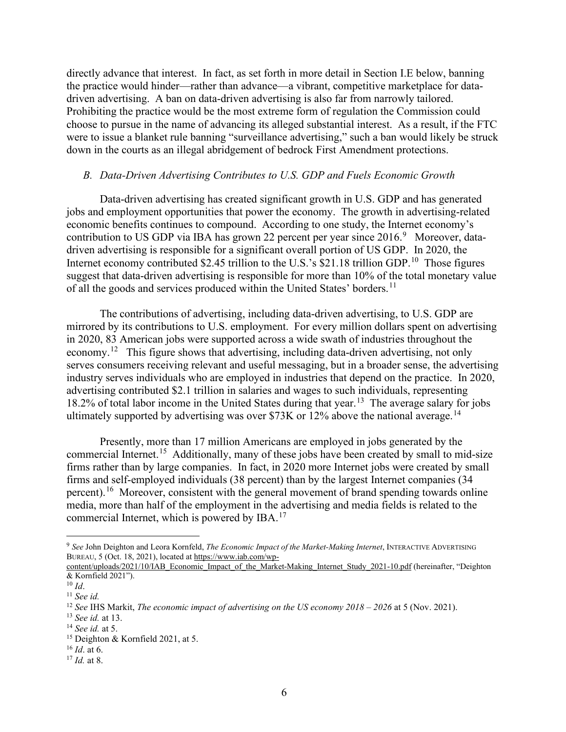directly advance that interest. In fact, as set forth in more detail in Section I.E below, banning the practice would hinder—rather than advance—a vibrant, competitive marketplace for datadriven advertising. A ban on data-driven advertising is also far from narrowly tailored. Prohibiting the practice would be the most extreme form of regulation the Commission could choose to pursue in the name of advancing its alleged substantial interest. As a result, if the FTC were to issue a blanket rule banning "surveillance advertising," such a ban would likely be struck down in the courts as an illegal abridgement of bedrock First Amendment protections.

#### *B. Data-Driven Advertising Contributes to U.S. GDP and Fuels Economic Growth*

Data-driven advertising has created significant growth in U.S. GDP and has generated jobs and employment opportunities that power the economy. The growth in advertising-related economic benefits continues to compound. According to one study, the Internet economy's contribution to US GDP via IBA has grown 22 percent per year since  $2016$ .<sup>[9](#page-5-0)</sup> Moreover, datadriven advertising is responsible for a significant overall portion of US GDP. In 2020, the Internet economy contributed \$2.45 trillion to the U.S.'s  $$21.18$  trillion GDP.<sup>[10](#page-5-1)</sup> Those figures suggest that data-driven advertising is responsible for more than 10% of the total monetary value of all the goods and services produced within the United States' borders.<sup>[11](#page-5-2)</sup>

The contributions of advertising, including data-driven advertising, to U.S. GDP are mirrored by its contributions to U.S. employment. For every million dollars spent on advertising in 2020, 83 American jobs were supported across a wide swath of industries throughout the economy.<sup>12</sup> This figure shows that advertising, including data-driven advertising, not only serves consumers receiving relevant and useful messaging, but in a broader sense, the advertising industry serves individuals who are employed in industries that depend on the practice. In 2020, advertising contributed \$2.1 trillion in salaries and wages to such individuals, representing 18.2% of total labor income in the United States during that year.<sup>[13](#page-5-4)</sup> The average salary for jobs ultimately supported by advertising was over \$73K or 12% above the national average.<sup>14</sup>

Presently, more than 17 million Americans are employed in jobs generated by the commercial Internet.[15](#page-5-6) Additionally, many of these jobs have been created by small to mid-size firms rather than by large companies. In fact, in 2020 more Internet jobs were created by small firms and self-employed individuals (38 percent) than by the largest Internet companies (34 percent).<sup>[16](#page-5-7)</sup> Moreover, consistent with the general movement of brand spending towards online media, more than half of the employment in the advertising and media fields is related to the commercial Internet, which is powered by IBA.<sup>[17](#page-5-8)</sup>

<span id="page-5-0"></span><sup>9</sup> *See* John Deighton and Leora Kornfeld, *The Economic Impact of the Market-Making Internet*, INTERACTIVE ADVERTISING BUREAU, 5 (Oct. 18, 2021), located at [https://www.iab.com/wp-](https://www.iab.com/wp-content/uploads/2021/10/IAB_Economic_Impact_of_the_Market-Making_Internet_Study_2021-10.pdf)

[content/uploads/2021/10/IAB\\_Economic\\_Impact\\_of\\_the\\_Market-Making\\_Internet\\_Study\\_2021-10.pdf](https://www.iab.com/wp-content/uploads/2021/10/IAB_Economic_Impact_of_the_Market-Making_Internet_Study_2021-10.pdf) (hereinafter, "Deighton & Kornfield 2021").

<span id="page-5-1"></span> $10$  *Id.* 

<span id="page-5-2"></span><sup>11</sup> *See id.*

<span id="page-5-3"></span><sup>12</sup> *See* IHS Markit, *The economic impact of advertising on the US economy 2018 – 2026* at 5 (Nov. 2021).

<span id="page-5-4"></span><sup>13</sup> *See id.* at 13.

<span id="page-5-5"></span><sup>14</sup> *See id.* at 5.

<span id="page-5-6"></span><sup>&</sup>lt;sup>15</sup> Deighton & Kornfield 2021, at 5.

<sup>16</sup> *Id*. at 6.

<span id="page-5-8"></span><span id="page-5-7"></span><sup>17</sup> *Id.* at 8.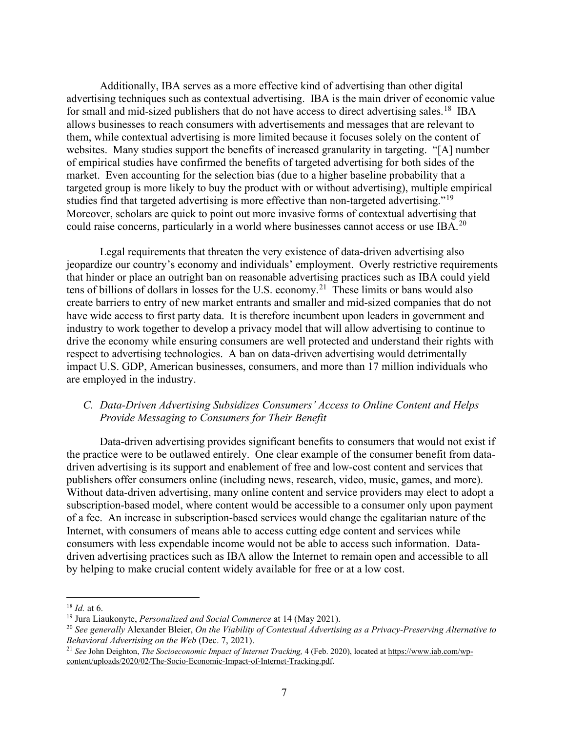Additionally, IBA serves as a more effective kind of advertising than other digital advertising techniques such as contextual advertising. IBA is the main driver of economic value for small and mid-sized publishers that do not have access to direct advertising sales.<sup>18</sup> IBA allows businesses to reach consumers with advertisements and messages that are relevant to them, while contextual advertising is more limited because it focuses solely on the content of websites. Many studies support the benefits of increased granularity in targeting. "[A] number of empirical studies have confirmed the benefits of targeted advertising for both sides of the market. Even accounting for the selection bias (due to a higher baseline probability that a targeted group is more likely to buy the product with or without advertising), multiple empirical studies find that targeted advertising is more effective than non-targeted advertising."<sup>19</sup> Moreover, scholars are quick to point out more invasive forms of contextual advertising that could raise concerns, particularly in a world where businesses cannot access or use IBA.<sup>[20](#page-6-2)</sup>

Legal requirements that threaten the very existence of data-driven advertising also jeopardize our country's economy and individuals' employment. Overly restrictive requirements that hinder or place an outright ban on reasonable advertising practices such as IBA could yield tens of billions of dollars in losses for the U.S. economy.[21](#page-6-3) These limits or bans would also create barriers to entry of new market entrants and smaller and mid-sized companies that do not have wide access to first party data. It is therefore incumbent upon leaders in government and industry to work together to develop a privacy model that will allow advertising to continue to drive the economy while ensuring consumers are well protected and understand their rights with respect to advertising technologies. A ban on data-driven advertising would detrimentally impact U.S. GDP, American businesses, consumers, and more than 17 million individuals who are employed in the industry.

### *C. Data-Driven Advertising Subsidizes Consumers' Access to Online Content and Helps Provide Messaging to Consumers for Their Benefit*

Data-driven advertising provides significant benefits to consumers that would not exist if the practice were to be outlawed entirely. One clear example of the consumer benefit from datadriven advertising is its support and enablement of free and low-cost content and services that publishers offer consumers online (including news, research, video, music, games, and more). Without data-driven advertising, many online content and service providers may elect to adopt a subscription-based model, where content would be accessible to a consumer only upon payment of a fee. An increase in subscription-based services would change the egalitarian nature of the Internet, with consumers of means able to access cutting edge content and services while consumers with less expendable income would not be able to access such information. Datadriven advertising practices such as IBA allow the Internet to remain open and accessible to all by helping to make crucial content widely available for free or at a low cost.

<span id="page-6-0"></span><sup>18</sup> *Id.* at 6.

<span id="page-6-1"></span><sup>19</sup> Jura Liaukonyte, *Personalized and Social Commerce* at 14 (May 2021).

<span id="page-6-2"></span><sup>20</sup> *See generally* Alexander Bleier, *On the Viability of Contextual Advertising as a Privacy-Preserving Alternative to Behavioral Advertising on the Web* (Dec. 7, 2021).

<span id="page-6-3"></span><sup>21</sup> *See* John Deighton, *The Socioeconomic Impact of Internet Tracking,* 4 (Feb. 2020), located at [https://www.iab.com/wp](https://www.iab.com/wp-content/uploads/2020/02/The-Socio-Economic-Impact-of-Internet-Tracking.pdf)[content/uploads/2020/02/The-Socio-Economic-Impact-of-Internet-Tracking.pdf.](https://www.iab.com/wp-content/uploads/2020/02/The-Socio-Economic-Impact-of-Internet-Tracking.pdf)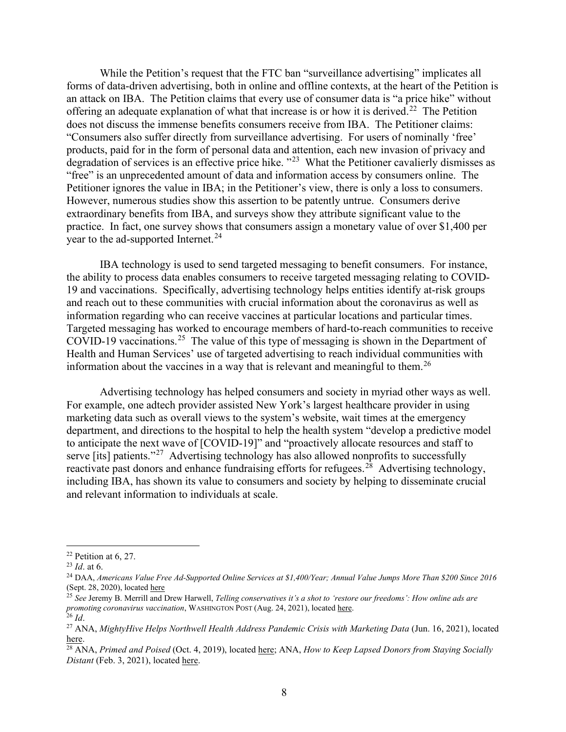While the Petition's request that the FTC ban "surveillance advertising" implicates all forms of data-driven advertising, both in online and offline contexts, at the heart of the Petition is an attack on IBA. The Petition claims that every use of consumer data is "a price hike" without offering an adequate explanation of what that increase is or how it is derived.<sup>[22](#page-7-0)</sup> The Petition does not discuss the immense benefits consumers receive from IBA. The Petitioner claims: "Consumers also suffer directly from surveillance advertising. For users of nominally 'free' products, paid for in the form of personal data and attention, each new invasion of privacy and degradation of services is an effective price hike. "<sup>[23](#page-7-1)</sup> What the Petitioner cavalierly dismisses as "free" is an unprecedented amount of data and information access by consumers online. The Petitioner ignores the value in IBA; in the Petitioner's view, there is only a loss to consumers. However, numerous studies show this assertion to be patently untrue. Consumers derive extraordinary benefits from IBA, and surveys show they attribute significant value to the practice. In fact, one survey shows that consumers assign a monetary value of over \$1,400 per year to the ad-supported Internet.<sup>[24](#page-7-2)</sup>

IBA technology is used to send targeted messaging to benefit consumers. For instance, the ability to process data enables consumers to receive targeted messaging relating to COVID-19 and vaccinations. Specifically, advertising technology helps entities identify at-risk groups and reach out to these communities with crucial information about the coronavirus as well as information regarding who can receive vaccines at particular locations and particular times. Targeted messaging has worked to encourage members of hard-to-reach communities to receive COVID-19 vaccinations. [25](#page-7-3) The value of this type of messaging is shown in the Department of Health and Human Services' use of targeted advertising to reach individual communities with information about the vaccines in a way that is relevant and meaningful to them.<sup>[26](#page-7-4)</sup>

Advertising technology has helped consumers and society in myriad other ways as well. For example, one adtech provider assisted New York's largest healthcare provider in using marketing data such as overall views to the system's website, wait times at the emergency department, and directions to the hospital to help the health system "develop a predictive model to anticipate the next wave of [COVID-19]" and "proactively allocate resources and staff to serve [its] patients."<sup>[27](#page-7-5)</sup> Advertising technology has also allowed nonprofits to successfully reactivate past donors and enhance fundraising efforts for refugees.<sup>28</sup> Advertising technology, including IBA, has shown its value to consumers and society by helping to disseminate crucial and relevant information to individuals at scale.

<span id="page-7-0"></span> $22$  Petition at 6, 27.

<span id="page-7-1"></span><sup>23</sup> *Id*. at 6.

<span id="page-7-2"></span><sup>&</sup>lt;sup>24</sup> DAA, Americans Value Free Ad-Supported Online Services at \$1,400/Year; Annual Value Jumps More Than \$200 Since 2016 (Sept. 28, 2020), located [here](https://digitaladvertisingalliance.org/press-release/americans-value-free-ad-supported-online-services-1400year-annual-value-jumps-more-200)

<span id="page-7-3"></span><sup>25</sup> *See* Jeremy B. Merrill and Drew Harwell, *Telling conservatives it's a shot to 'restore our freedoms': How online ads are promoting coronavirus vaccination*, WASHINGTON POST (Aug. 24, 2021), located [here.](https://www.washingtonpost.com/technology/2021/08/24/vaccine-ad-targeting-covid/)

<span id="page-7-4"></span> $^{26}$  *Id.* 

<span id="page-7-5"></span><sup>27</sup> ANA, *MightyHive Helps Northwell Health Address Pandemic Crisis with Marketing Data* (Jun. 16, 2021), located [here.](https://www.ana.net/miccontent/show/id/kp-mightyhive-northwell-address-pandemic)

<span id="page-7-6"></span><sup>28</sup> ANA, *Primed and Poised* (Oct. 4, 2019), located [here;](https://www.ana.net/miccontent/show/id/genius-2019-unhcr-growth) ANA, *How to Keep Lapsed Donors from Staying Socially Distant* (Feb. 3, 2021), located [here.](https://www.ana.net/miccontent/showvideo/id/v-comww-210203)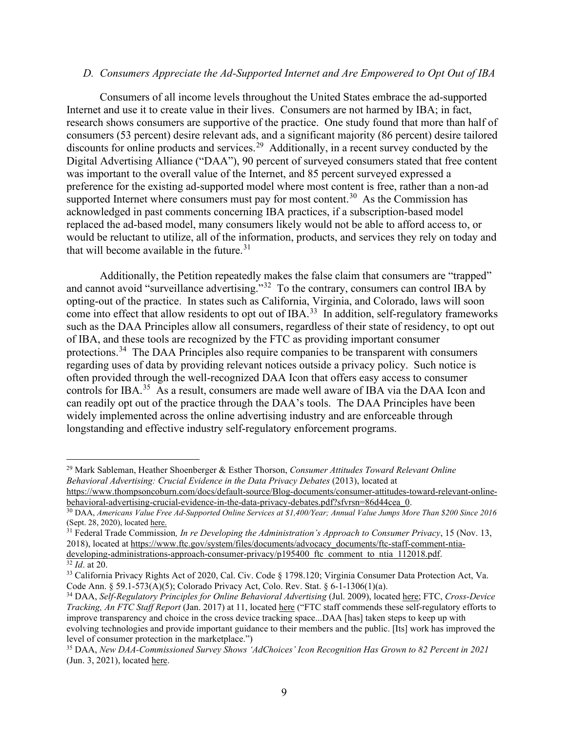#### *D. Consumers Appreciate the Ad-Supported Internet and Are Empowered to Opt Out of IBA*

Consumers of all income levels throughout the United States embrace the ad-supported Internet and use it to create value in their lives. Consumers are not harmed by IBA; in fact, research shows consumers are supportive of the practice. One study found that more than half of consumers (53 percent) desire relevant ads, and a significant majority (86 percent) desire tailored discounts for online products and services.<sup>[29](#page-8-0)</sup> Additionally, in a recent survey conducted by the Digital Advertising Alliance ("DAA"), 90 percent of surveyed consumers stated that free content was important to the overall value of the Internet, and 85 percent surveyed expressed a preference for the existing ad-supported model where most content is free, rather than a non-ad supported Internet where consumers must pay for most content.<sup>[30](#page-8-1)</sup> As the Commission has acknowledged in past comments concerning IBA practices, if a subscription-based model replaced the ad-based model, many consumers likely would not be able to afford access to, or would be reluctant to utilize, all of the information, products, and services they rely on today and that will become available in the future. $31$ 

Additionally, the Petition repeatedly makes the false claim that consumers are "trapped" and cannot avoid "surveillance advertising."<sup>32</sup> To the contrary, consumers can control IBA by opting-out of the practice. In states such as California, Virginia, and Colorado, laws will soon come into effect that allow residents to opt out of IBA.<sup>33</sup> In addition, self-regulatory frameworks such as the DAA Principles allow all consumers, regardless of their state of residency, to opt out of IBA, and these tools are recognized by the FTC as providing important consumer protections.<sup>[34](#page-8-5)</sup> The DAA Principles also require companies to be transparent with consumers regarding uses of data by providing relevant notices outside a privacy policy. Such notice is often provided through the well-recognized DAA Icon that offers easy access to consumer controls for IBA.<sup>35</sup> As a result, consumers are made well aware of IBA via the DAA Icon and can readily opt out of the practice through the DAA's tools. The DAA Principles have been widely implemented across the online advertising industry and are enforceable through longstanding and effective industry self-regulatory enforcement programs.

<span id="page-8-0"></span><sup>29</sup> Mark Sableman, Heather Shoenberger & Esther Thorson, *Consumer Attitudes Toward Relevant Online Behavioral Advertising: Crucial Evidence in the Data Privacy Debates* (2013), located at [https://www.thompsoncoburn.com/docs/default-source/Blog-documents/consumer-attitudes-toward-relevant-online-](https://www.thompsoncoburn.com/docs/default-source/Blog-documents/consumer-attitudes-toward-relevant-online-behavioral-advertising-crucial-evidence-in-the-data-privacy-debates.pdf?sfvrsn=86d44cea_0)

[behavioral-advertising-crucial-evidence-in-the-data-privacy-debates.pdf?sfvrsn=86d44cea\\_0.](https://www.thompsoncoburn.com/docs/default-source/Blog-documents/consumer-attitudes-toward-relevant-online-behavioral-advertising-crucial-evidence-in-the-data-privacy-debates.pdf?sfvrsn=86d44cea_0)

<span id="page-8-1"></span><sup>&</sup>lt;sup>30</sup> DAA, Americans Value Free Ad-Supported Online Services at \$1,400/Year; Annual Value Jumps More Than \$200 Since 2016 (Sept. 28, 2020), located [here.](https://digitaladvertisingalliance.org/press-release/americans-value-free-ad-supported-online-services-1400year-annual-value-jumps-more-200)

<span id="page-8-2"></span><sup>31</sup> Federal Trade Commission*, In re Developing the Administration's Approach to Consumer Privacy*, 15 (Nov. 13, 2018), located at [https://www.ftc.gov/system/files/documents/advocacy\\_documents/ftc-staff-comment-ntia](https://www.ftc.gov/system/files/documents/advocacy_documents/ftc-staff-comment-ntia-developing-administrations-approach-consumer-privacy/p195400_ftc_comment_to_ntia_112018.pdf)[developing-administrations-approach-consumer-privacy/p195400\\_ftc\\_comment\\_to\\_ntia\\_112018.pdf.](https://www.ftc.gov/system/files/documents/advocacy_documents/ftc-staff-comment-ntia-developing-administrations-approach-consumer-privacy/p195400_ftc_comment_to_ntia_112018.pdf)

<span id="page-8-3"></span><sup>32</sup> *Id*. at 20.

<span id="page-8-4"></span><sup>&</sup>lt;sup>33</sup> California Privacy Rights Act of 2020, Cal. Civ. Code § 1798.120; Virginia Consumer Data Protection Act, Va. Code Ann. § 59.1-573(A)(5); Colorado Privacy Act, Colo. Rev. Stat. § 6-1-1306(1)(a).

<span id="page-8-5"></span><sup>34</sup> DAA, *Self-Regulatory Principles for Online Behavioral Advertising* (Jul. 2009), located [here;](https://digitaladvertisingalliance.org/sites/aboutads/files/DAA_files/seven-principles-07-01-09.pdf) FTC, *Cross-Device Tracking, An FTC Staff Report* (Jan. 2017) at 11, located [here](https://www.ftc.gov/system/files/documents/reports/cross-device-tracking-federal-trade-commission-staff-report-january-2017/ftc_cross-device_tracking_report_1-23-17.pdf) ("FTC staff commends these self-regulatory efforts to improve transparency and choice in the cross device tracking space...DAA [has] taken steps to keep up with evolving technologies and provide important guidance to their members and the public. [Its] work has improved the level of consumer protection in the marketplace.")

<span id="page-8-6"></span><sup>35</sup> DAA, *New DAA-Commissioned Survey Shows 'AdChoices' Icon Recognition Has Grown to 82 Percent in 2021* (Jun. 3, 2021), located [here.](https://digitaladvertisingalliance.org/blog/new-daa-commissioned-survey-shows-%E2%80%98adchoices%E2%80%99-icon-recognition-has-grown-82-percent-2021)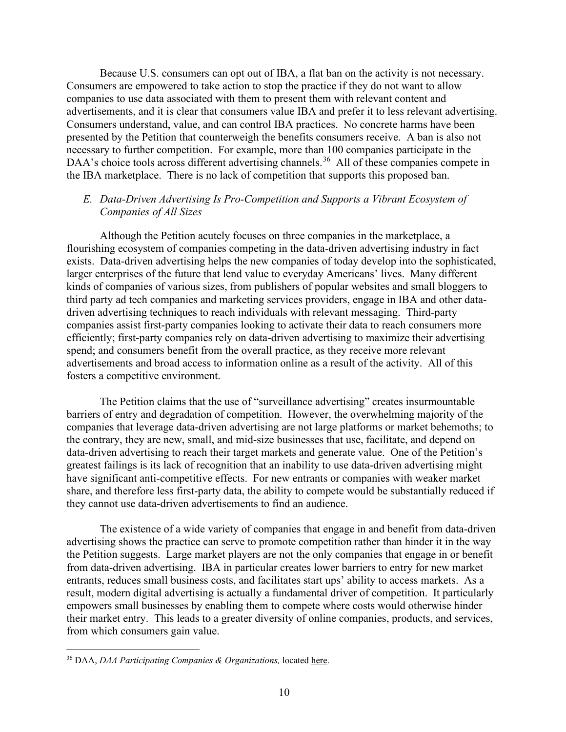Because U.S. consumers can opt out of IBA, a flat ban on the activity is not necessary. Consumers are empowered to take action to stop the practice if they do not want to allow companies to use data associated with them to present them with relevant content and advertisements, and it is clear that consumers value IBA and prefer it to less relevant advertising. Consumers understand, value, and can control IBA practices. No concrete harms have been presented by the Petition that counterweigh the benefits consumers receive. A ban is also not necessary to further competition. For example, more than 100 companies participate in the DAA's choice tools across different advertising channels.<sup>36</sup> All of these companies compete in the IBA marketplace. There is no lack of competition that supports this proposed ban.

### *E. Data-Driven Advertising Is Pro-Competition and Supports a Vibrant Ecosystem of Companies of All Sizes*

Although the Petition acutely focuses on three companies in the marketplace, a flourishing ecosystem of companies competing in the data-driven advertising industry in fact exists. Data-driven advertising helps the new companies of today develop into the sophisticated, larger enterprises of the future that lend value to everyday Americans' lives. Many different kinds of companies of various sizes, from publishers of popular websites and small bloggers to third party ad tech companies and marketing services providers, engage in IBA and other datadriven advertising techniques to reach individuals with relevant messaging. Third-party companies assist first-party companies looking to activate their data to reach consumers more efficiently; first-party companies rely on data-driven advertising to maximize their advertising spend; and consumers benefit from the overall practice, as they receive more relevant advertisements and broad access to information online as a result of the activity. All of this fosters a competitive environment.

The Petition claims that the use of "surveillance advertising" creates insurmountable barriers of entry and degradation of competition. However, the overwhelming majority of the companies that leverage data-driven advertising are not large platforms or market behemoths; to the contrary, they are new, small, and mid-size businesses that use, facilitate, and depend on data-driven advertising to reach their target markets and generate value. One of the Petition's greatest failings is its lack of recognition that an inability to use data-driven advertising might have significant anti-competitive effects. For new entrants or companies with weaker market share, and therefore less first-party data, the ability to compete would be substantially reduced if they cannot use data-driven advertisements to find an audience.

The existence of a wide variety of companies that engage in and benefit from data-driven advertising shows the practice can serve to promote competition rather than hinder it in the way the Petition suggests. Large market players are not the only companies that engage in or benefit from data-driven advertising. IBA in particular creates lower barriers to entry for new market entrants, reduces small business costs, and facilitates start ups' ability to access markets. As a result, modern digital advertising is actually a fundamental driver of competition. It particularly empowers small businesses by enabling them to compete where costs would otherwise hinder their market entry. This leads to a greater diversity of online companies, products, and services, from which consumers gain value.

<span id="page-9-0"></span><sup>36</sup> DAA, *DAA Participating Companies & Organizations,* located [here.](https://digitaladvertisingalliance.org/participating)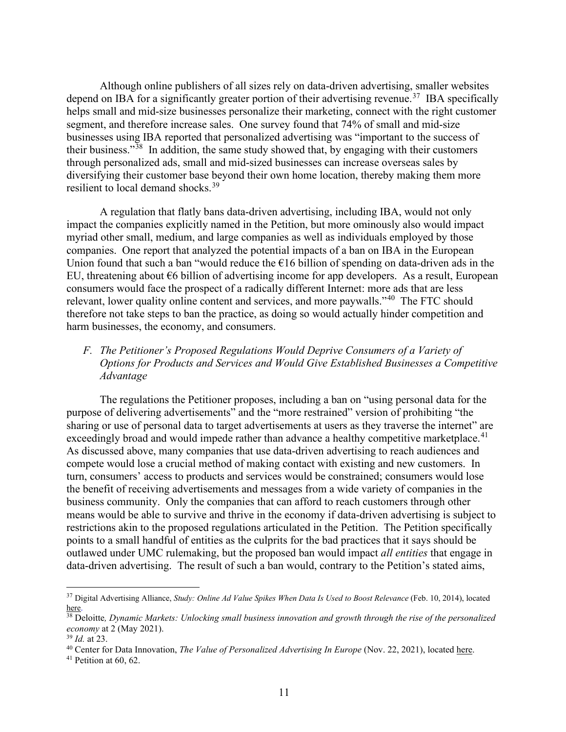Although online publishers of all sizes rely on data-driven advertising, smaller websites depend on IBA for a significantly greater portion of their advertising revenue.<sup>37</sup> IBA specifically helps small and mid-size businesses personalize their marketing, connect with the right customer segment, and therefore increase sales. One survey found that 74% of small and mid-size businesses using IBA reported that personalized advertising was "important to the success of their business."<sup>38</sup> In addition, the same study showed that, by engaging with their customers through personalized ads, small and mid-sized businesses can increase overseas sales by diversifying their customer base beyond their own home location, thereby making them more resilient to local demand shocks.<sup>[39](#page-10-2)</sup>

A regulation that flatly bans data-driven advertising, including IBA, would not only impact the companies explicitly named in the Petition, but more ominously also would impact myriad other small, medium, and large companies as well as individuals employed by those companies. One report that analyzed the potential impacts of a ban on IBA in the European Union found that such a ban "would reduce the  $\epsilon$ 16 billion of spending on data-driven ads in the EU, threatening about  $\epsilon$ 6 billion of advertising income for app developers. As a result, European consumers would face the prospect of a radically different Internet: more ads that are less relevant, lower quality online content and services, and more paywalls."[40](#page-10-3) The FTC should therefore not take steps to ban the practice, as doing so would actually hinder competition and harm businesses, the economy, and consumers.

## *F. The Petitioner's Proposed Regulations Would Deprive Consumers of a Variety of Options for Products and Services and Would Give Established Businesses a Competitive Advantage*

The regulations the Petitioner proposes, including a ban on "using personal data for the purpose of delivering advertisements" and the "more restrained" version of prohibiting "the sharing or use of personal data to target advertisements at users as they traverse the internet" are exceedingly broad and would impede rather than advance a healthy competitive marketplace.<sup>[41](#page-10-4)</sup> As discussed above, many companies that use data-driven advertising to reach audiences and compete would lose a crucial method of making contact with existing and new customers. In turn, consumers' access to products and services would be constrained; consumers would lose the benefit of receiving advertisements and messages from a wide variety of companies in the business community. Only the companies that can afford to reach customers through other means would be able to survive and thrive in the economy if data-driven advertising is subject to restrictions akin to the proposed regulations articulated in the Petition. The Petition specifically points to a small handful of entities as the culprits for the bad practices that it says should be outlawed under UMC rulemaking, but the proposed ban would impact *all entities* that engage in data-driven advertising. The result of such a ban would, contrary to the Petition's stated aims,

<span id="page-10-0"></span><sup>37</sup> Digital Advertising Alliance, *Study: Online Ad Value Spikes When Data Is Used to Boost Relevance* (Feb. 10, 2014), located [here.](https://digitaladvertisingalliance.org/press-release/study-online-ad-value-spikes-when-data-used-boost-relevance) 38 Deloitte*, Dynamic Markets: Unlocking small business innovation and growth through the rise of the personalized*

<span id="page-10-1"></span>*economy* at 2 (May 2021).

<span id="page-10-2"></span><sup>39</sup> *Id.* at 23.

<span id="page-10-3"></span><sup>40</sup> Center for Data Innovation, *The Value of Personalized Advertising In Europe* (Nov. 22, 2021), located [here.](https://www2.datainnovation.org/2021-value-personalized-ads-europe.pdf)

<span id="page-10-4"></span><sup>&</sup>lt;sup>41</sup> Petition at 60, 62.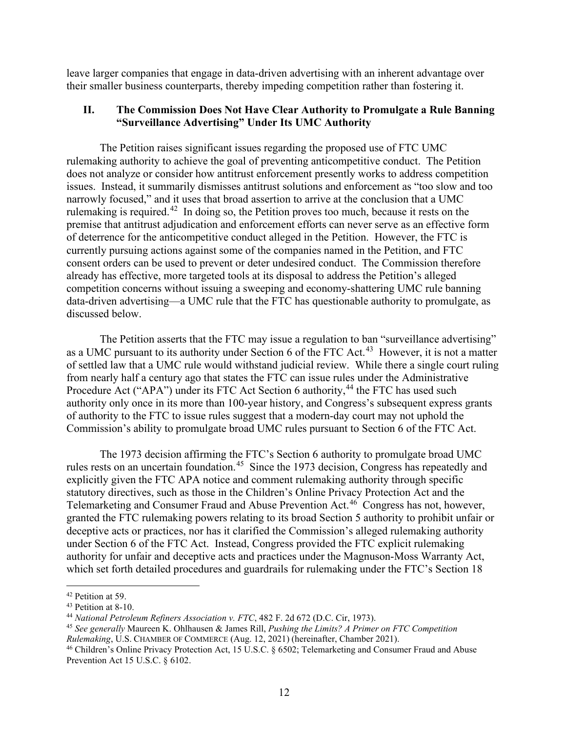leave larger companies that engage in data-driven advertising with an inherent advantage over their smaller business counterparts, thereby impeding competition rather than fostering it.

#### **II. The Commission Does Not Have Clear Authority to Promulgate a Rule Banning "Surveillance Advertising" Under Its UMC Authority**

The Petition raises significant issues regarding the proposed use of FTC UMC rulemaking authority to achieve the goal of preventing anticompetitive conduct. The Petition does not analyze or consider how antitrust enforcement presently works to address competition issues. Instead, it summarily dismisses antitrust solutions and enforcement as "too slow and too narrowly focused," and it uses that broad assertion to arrive at the conclusion that a UMC rulemaking is required.<sup>[42](#page-11-0)</sup> In doing so, the Petition proves too much, because it rests on the premise that antitrust adjudication and enforcement efforts can never serve as an effective form of deterrence for the anticompetitive conduct alleged in the Petition. However, the FTC is currently pursuing actions against some of the companies named in the Petition, and FTC consent orders can be used to prevent or deter undesired conduct. The Commission therefore already has effective, more targeted tools at its disposal to address the Petition's alleged competition concerns without issuing a sweeping and economy-shattering UMC rule banning data-driven advertising—a UMC rule that the FTC has questionable authority to promulgate, as discussed below.

The Petition asserts that the FTC may issue a regulation to ban "surveillance advertising" as a UMC pursuant to its authority under Section 6 of the FTC Act.<sup>[43](#page-11-1)</sup> However, it is not a matter of settled law that a UMC rule would withstand judicial review. While there a single court ruling from nearly half a century ago that states the FTC can issue rules under the Administrative Procedure Act ("APA") under its FTC Act Section 6 authority,<sup>[44](#page-11-2)</sup> the FTC has used such authority only once in its more than 100-year history, and Congress's subsequent express grants of authority to the FTC to issue rules suggest that a modern-day court may not uphold the Commission's ability to promulgate broad UMC rules pursuant to Section 6 of the FTC Act.

The 1973 decision affirming the FTC's Section 6 authority to promulgate broad UMC rules rests on an uncertain foundation.<sup>[45](#page-11-3)</sup> Since the 1973 decision, Congress has repeatedly and explicitly given the FTC APA notice and comment rulemaking authority through specific statutory directives, such as those in the Children's Online Privacy Protection Act and the Telemarketing and Consumer Fraud and Abuse Prevention Act.[46](#page-11-4) Congress has not, however, granted the FTC rulemaking powers relating to its broad Section 5 authority to prohibit unfair or deceptive acts or practices, nor has it clarified the Commission's alleged rulemaking authority under Section 6 of the FTC Act. Instead, Congress provided the FTC explicit rulemaking authority for unfair and deceptive acts and practices under the Magnuson-Moss Warranty Act, which set forth detailed procedures and guardrails for rulemaking under the FTC's Section 18

<span id="page-11-0"></span><sup>42</sup> Petition at 59.

<span id="page-11-1"></span><sup>43</sup> Petition at 8-10.

<span id="page-11-2"></span><sup>44</sup> *National Petroleum Refiners Association v. FTC*, 482 F. 2d 672 (D.C. Cir, 1973).

<span id="page-11-3"></span><sup>45</sup> *See generally* Maureen K. Ohlhausen & James Rill, *Pushing the Limits? A Primer on FTC Competition*

*Rulemaking*, U.S. CHAMBER OF COMMERCE (Aug. 12, 2021) (hereinafter, Chamber 2021).

<span id="page-11-4"></span><sup>46</sup> Children's Online Privacy Protection Act, 15 U.S.C. § 6502; Telemarketing and Consumer Fraud and Abuse Prevention Act 15 U.S.C. § 6102.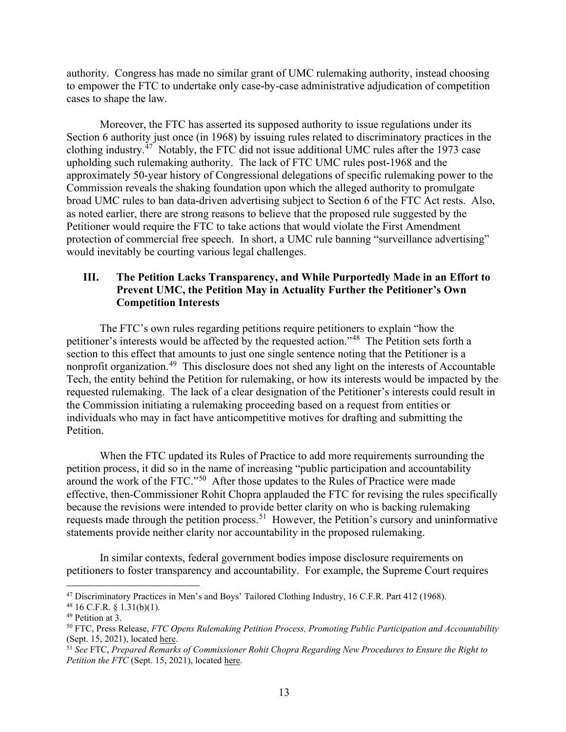authority. Congress has made no similar grant of UMC rulemaking authority, instead choosing to empower the FTC to undertake only case-by-case administrative adjudication of competition cases to shape the law.

Moreover, the FTC has asserted its supposed authority to issue regulations under its Section 6 authority just once (in 1968) by issuing rules related to discriminatory practices in the clothing industry.<sup>[47](#page-12-0)</sup> Notably, the FTC did not issue additional UMC rules after the 1973 case upholding such rulemaking authority. The lack of FTC UMC rules post-1968 and the approximately 50-year history of Congressional delegations of specific rulemaking power to the Commission reveals the shaking foundation upon which the alleged authority to promulgate broad UMC rules to ban data-driven advertising subject to Section 6 of the FTC Act rests. Also, as noted earlier, there are strong reasons to believe that the proposed rule suggested by the Petitioner would require the FTC to take actions that would violate the First Amendment protection of commercial free speech. In short, a UMC rule banning "surveillance advertising" would inevitably be courting various legal challenges.

# **III. The Petition Lacks Transparency, and While Purportedly Made in an Effort to Prevent UMC, the Petition May in Actuality Further the Petitioner's Own Competition Interests**

The FTC's own rules regarding petitions require petitioners to explain "how the petitioner's interests would be affected by the requested action."[48](#page-12-1) The Petition sets forth a section to this effect that amounts to just one single sentence noting that the Petitioner is a nonprofit organization.[49](#page-12-2) This disclosure does not shed any light on the interests of Accountable Tech, the entity behind the Petition for rulemaking, or how its interests would be impacted by the requested rulemaking. The lack of a clear designation of the Petitioner's interests could result in the Commission initiating a rulemaking proceeding based on a request from entities or individuals who may in fact have anticompetitive motives for drafting and submitting the Petition.

When the FTC updated its Rules of Practice to add more requirements surrounding the petition process, it did so in the name of increasing "public participation and accountability around the work of the FTC."[50](#page-12-3) After those updates to the Rules of Practice were made effective, then-Commissioner Rohit Chopra applauded the FTC for revising the rules specifically because the revisions were intended to provide better clarity on who is backing rulemaking requests made through the petition process.<sup>51</sup> However, the Petition's cursory and uninformative statements provide neither clarity nor accountability in the proposed rulemaking.

In similar contexts, federal government bodies impose disclosure requirements on petitioners to foster transparency and accountability. For example, the Supreme Court requires

<span id="page-12-0"></span><sup>47</sup> Discriminatory Practices in Men's and Boys' Tailored Clothing Industry, 16 C.F.R. Part 412 (1968).

<span id="page-12-1"></span> $48$  16 C.F.R.  $\S$  1.31(b)(1).

<span id="page-12-2"></span><sup>&</sup>lt;sup>49</sup> Petition at 3.

<span id="page-12-3"></span><sup>50</sup> FTC, Press Release, *FTC Opens Rulemaking Petition Process, Promoting Public Participation and Accountability* (Sept. 15, 2021), located [here.](https://www.ftc.gov/news-events/press-releases/2021/09/ftc-opens-rulemaking-petition-process-promoting-public)

<span id="page-12-4"></span><sup>51</sup> *See* FTC, *Prepared Remarks of Commissioner Rohit Chopra Regarding New Procedures to Ensure the Right to Petition the FTC* (Sept. 15, 2021), located [here.](https://www.ftc.gov/system/files/documents/public_statements/1596344/p072104choprastatementpetitionrulemaking.pdf)